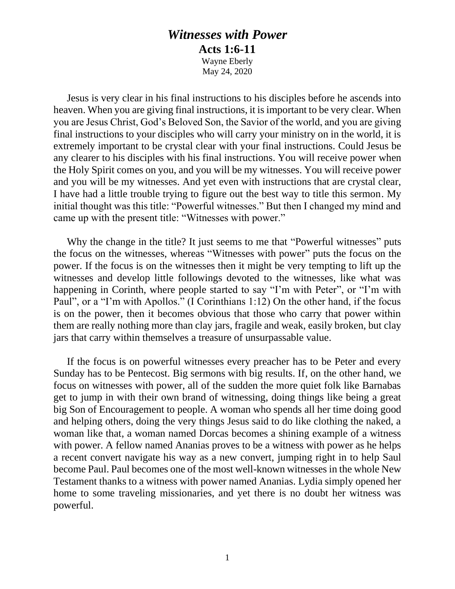## *Witnesses with Power* **Acts 1:6-11** Wayne Eberly

May 24, 2020

Jesus is very clear in his final instructions to his disciples before he ascends into heaven. When you are giving final instructions, it is important to be very clear. When you are Jesus Christ, God's Beloved Son, the Savior of the world, and you are giving final instructions to your disciples who will carry your ministry on in the world, it is extremely important to be crystal clear with your final instructions. Could Jesus be any clearer to his disciples with his final instructions. You will receive power when the Holy Spirit comes on you, and you will be my witnesses. You will receive power and you will be my witnesses. And yet even with instructions that are crystal clear, I have had a little trouble trying to figure out the best way to title this sermon. My initial thought was this title: "Powerful witnesses." But then I changed my mind and came up with the present title: "Witnesses with power."

Why the change in the title? It just seems to me that "Powerful witnesses" puts the focus on the witnesses, whereas "Witnesses with power" puts the focus on the power. If the focus is on the witnesses then it might be very tempting to lift up the witnesses and develop little followings devoted to the witnesses, like what was happening in Corinth, where people started to say "I'm with Peter", or "I'm with Paul", or a "I'm with Apollos." (I Corinthians 1:12) On the other hand, if the focus is on the power, then it becomes obvious that those who carry that power within them are really nothing more than clay jars, fragile and weak, easily broken, but clay jars that carry within themselves a treasure of unsurpassable value.

If the focus is on powerful witnesses every preacher has to be Peter and every Sunday has to be Pentecost. Big sermons with big results. If, on the other hand, we focus on witnesses with power, all of the sudden the more quiet folk like Barnabas get to jump in with their own brand of witnessing, doing things like being a great big Son of Encouragement to people. A woman who spends all her time doing good and helping others, doing the very things Jesus said to do like clothing the naked, a woman like that, a woman named Dorcas becomes a shining example of a witness with power. A fellow named Ananias proves to be a witness with power as he helps a recent convert navigate his way as a new convert, jumping right in to help Saul become Paul. Paul becomes one of the most well-known witnesses in the whole New Testament thanks to a witness with power named Ananias. Lydia simply opened her home to some traveling missionaries, and yet there is no doubt her witness was powerful.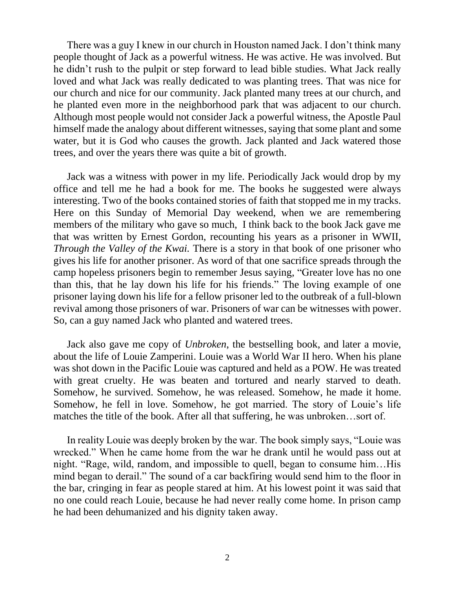There was a guy I knew in our church in Houston named Jack. I don't think many people thought of Jack as a powerful witness. He was active. He was involved. But he didn't rush to the pulpit or step forward to lead bible studies. What Jack really loved and what Jack was really dedicated to was planting trees. That was nice for our church and nice for our community. Jack planted many trees at our church, and he planted even more in the neighborhood park that was adjacent to our church. Although most people would not consider Jack a powerful witness, the Apostle Paul himself made the analogy about different witnesses, saying that some plant and some water, but it is God who causes the growth. Jack planted and Jack watered those trees, and over the years there was quite a bit of growth.

Jack was a witness with power in my life. Periodically Jack would drop by my office and tell me he had a book for me. The books he suggested were always interesting. Two of the books contained stories of faith that stopped me in my tracks. Here on this Sunday of Memorial Day weekend, when we are remembering members of the military who gave so much, I think back to the book Jack gave me that was written by Ernest Gordon, recounting his years as a prisoner in WWII, *Through the Valley of the Kwai.* There is a story in that book of one prisoner who gives his life for another prisoner. As word of that one sacrifice spreads through the camp hopeless prisoners begin to remember Jesus saying, "Greater love has no one than this, that he lay down his life for his friends." The loving example of one prisoner laying down his life for a fellow prisoner led to the outbreak of a full-blown revival among those prisoners of war. Prisoners of war can be witnesses with power. So, can a guy named Jack who planted and watered trees.

Jack also gave me copy of *Unbroken*, the bestselling book, and later a movie, about the life of Louie Zamperini. Louie was a World War II hero. When his plane was shot down in the Pacific Louie was captured and held as a POW. He was treated with great cruelty. He was beaten and tortured and nearly starved to death. Somehow, he survived. Somehow, he was released. Somehow, he made it home. Somehow, he fell in love. Somehow, he got married. The story of Louie's life matches the title of the book. After all that suffering, he was unbroken…sort of.

In reality Louie was deeply broken by the war. The book simply says, "Louie was wrecked." When he came home from the war he drank until he would pass out at night. "Rage, wild, random, and impossible to quell, began to consume him…His mind began to derail." The sound of a car backfiring would send him to the floor in the bar, cringing in fear as people stared at him. At his lowest point it was said that no one could reach Louie, because he had never really come home. In prison camp he had been dehumanized and his dignity taken away.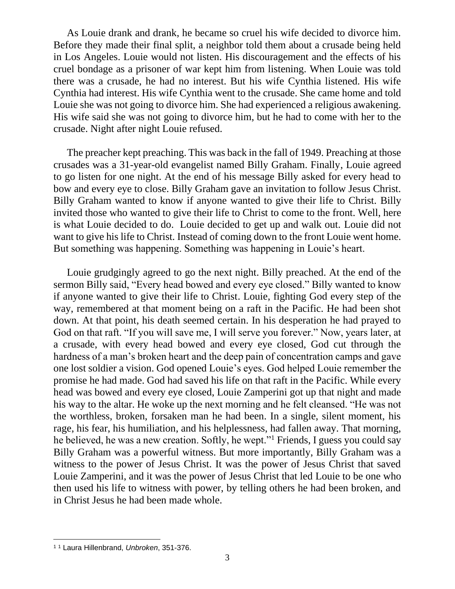As Louie drank and drank, he became so cruel his wife decided to divorce him. Before they made their final split, a neighbor told them about a crusade being held in Los Angeles. Louie would not listen. His discouragement and the effects of his cruel bondage as a prisoner of war kept him from listening. When Louie was told there was a crusade, he had no interest. But his wife Cynthia listened. His wife Cynthia had interest. His wife Cynthia went to the crusade. She came home and told Louie she was not going to divorce him. She had experienced a religious awakening. His wife said she was not going to divorce him, but he had to come with her to the crusade. Night after night Louie refused.

The preacher kept preaching. This was back in the fall of 1949. Preaching at those crusades was a 31-year-old evangelist named Billy Graham. Finally, Louie agreed to go listen for one night. At the end of his message Billy asked for every head to bow and every eye to close. Billy Graham gave an invitation to follow Jesus Christ. Billy Graham wanted to know if anyone wanted to give their life to Christ. Billy invited those who wanted to give their life to Christ to come to the front. Well, here is what Louie decided to do. Louie decided to get up and walk out. Louie did not want to give his life to Christ. Instead of coming down to the front Louie went home. But something was happening. Something was happening in Louie's heart.

Louie grudgingly agreed to go the next night. Billy preached. At the end of the sermon Billy said, "Every head bowed and every eye closed." Billy wanted to know if anyone wanted to give their life to Christ. Louie, fighting God every step of the way, remembered at that moment being on a raft in the Pacific. He had been shot down. At that point, his death seemed certain. In his desperation he had prayed to God on that raft. "If you will save me, I will serve you forever." Now, years later, at a crusade, with every head bowed and every eye closed, God cut through the hardness of a man's broken heart and the deep pain of concentration camps and gave one lost soldier a vision. God opened Louie's eyes. God helped Louie remember the promise he had made. God had saved his life on that raft in the Pacific. While every head was bowed and every eye closed, Louie Zamperini got up that night and made his way to the altar. He woke up the next morning and he felt cleansed. "He was not the worthless, broken, forsaken man he had been. In a single, silent moment, his rage, his fear, his humiliation, and his helplessness, had fallen away. That morning, he believed, he was a new creation. Softly, he wept."<sup>1</sup> Friends, I guess you could say Billy Graham was a powerful witness. But more importantly, Billy Graham was a witness to the power of Jesus Christ. It was the power of Jesus Christ that saved Louie Zamperini, and it was the power of Jesus Christ that led Louie to be one who then used his life to witness with power, by telling others he had been broken, and in Christ Jesus he had been made whole.

<sup>1</sup> <sup>1</sup> Laura Hillenbrand, *Unbroken*, 351-376.